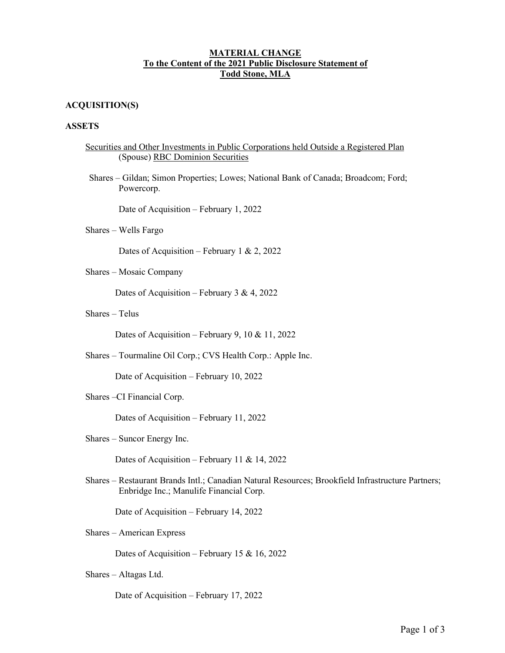## **MATERIAL CHANGE To the Content of the 2021 Public Disclosure Statement of Todd Stone, MLA**

# **ACQUISITION(S)**

## **ASSETS**

| Securities and Other Investments in Public Corporations held Outside a Registered Plan |  |
|----------------------------------------------------------------------------------------|--|
| (Spouse) RBC Dominion Securities                                                       |  |

Shares – Gildan; Simon Properties; Lowes; National Bank of Canada; Broadcom; Ford; Powercorp.

Date of Acquisition – February 1, 2022

Shares – Wells Fargo

Dates of Acquisition – February 1 & 2, 2022

Shares – Mosaic Company

Dates of Acquisition – February 3 & 4, 2022

Shares – Telus

Dates of Acquisition – February 9, 10 & 11, 2022

Shares – Tourmaline Oil Corp.; CVS Health Corp.: Apple Inc.

Date of Acquisition – February 10, 2022

Shares –CI Financial Corp.

Dates of Acquisition – February 11, 2022

Shares – Suncor Energy Inc.

Dates of Acquisition – February 11 & 14, 2022

Shares – Restaurant Brands Intl.; Canadian Natural Resources; Brookfield Infrastructure Partners; Enbridge Inc.; Manulife Financial Corp.

Date of Acquisition – February 14, 2022

Shares – American Express

Dates of Acquisition – February 15 & 16, 2022

Shares – Altagas Ltd.

Date of Acquisition – February 17, 2022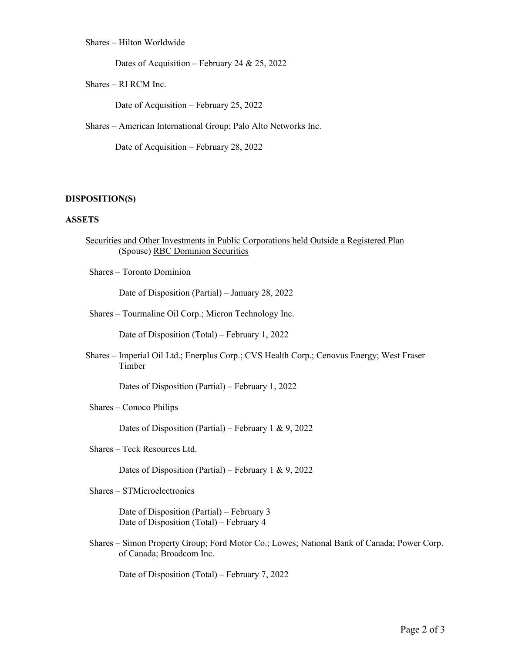## Shares – Hilton Worldwide

Dates of Acquisition – February 24 & 25, 2022

Shares – RI RCM Inc.

Date of Acquisition – February 25, 2022

Shares – American International Group; Palo Alto Networks Inc.

Date of Acquisition – February 28, 2022

#### **DISPOSITION(S)**

#### **ASSETS**

- Securities and Other Investments in Public Corporations held Outside a Registered Plan (Spouse) RBC Dominion Securities
- Shares Toronto Dominion

Date of Disposition (Partial) – January 28, 2022

Shares – Tourmaline Oil Corp.; Micron Technology Inc.

Date of Disposition (Total) – February 1, 2022

Shares – Imperial Oil Ltd.; Enerplus Corp.; CVS Health Corp.; Cenovus Energy; West Fraser Timber

Dates of Disposition (Partial) – February 1, 2022

Shares – Conoco Philips

Dates of Disposition (Partial) – February 1 & 9, 2022

Shares – Teck Resources Ltd.

Dates of Disposition (Partial) – February 1 & 9, 2022

Shares – STMicroelectronics

Date of Disposition (Partial) – February 3 Date of Disposition (Total) – February 4

Shares – Simon Property Group; Ford Motor Co.; Lowes; National Bank of Canada; Power Corp. of Canada; Broadcom Inc.

Date of Disposition (Total) – February 7, 2022